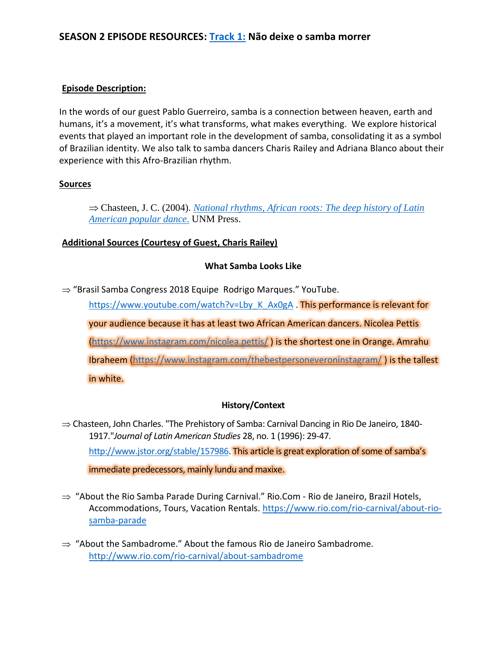# **SEASON 2 EPISODE RESOURCES: [Track 1:](https://www.youtube.com/watch?v=qv1XXWdcrXU&feature=youtu.be) Não deixe o samba morrer**

#### **Episode Description:**

In the words of our guest Pablo Guerreiro, samba is a connection between heaven, earth and humans, it's a movement, it's what transforms, what makes everything. We explore historical events that played an important role in the development of samba, consolidating it as a symbol of Brazilian identity. We also talk to samba dancers Charis Railey and Adriana Blanco about their experience with this Afro-Brazilian rhythm.

## **Sources**

⇒ Chasteen, J. C. (2004). *National rhythms, African roots: The deep history of Latin [American popular dance](https://www.amazon.com/National-Rhythms-African-Roots-American/dp/0826329411)*. UNM Press.

## **Additional Sources (Courtesy of Guest, Charis Railey)**

#### **What Samba Looks Like**

 $\Rightarrow$  "Brasil Samba Congress 2018 Equipe Rodrigo Marques." YouTube.

https://www.youtube.com/watch?v=Lby K Ax0gA . This performance is relevant for your audience because it has at least two African American dancers. Nicolea Pettis [\(https://www.instagram.com/nicolea.pettis/](https://www.instagram.com/nicolea.pettis/) ) is the shortest one in Orange. Amrahu Ibraheem [\(https://www.instagram.com/thebestpersoneveroninstagram/](https://www.instagram.com/thebestpersoneveroninstagram/) ) is the tallest in white.

#### **History/Context**

- $\Rightarrow$  Chasteen, John Charles. "The Prehistory of Samba: Carnival Dancing in Rio De Janeiro, 1840-1917."*Journal of Latin American Studies* 28, no. 1 (1996): 29-47. [http://www.jstor.org/stable/157986.](http://www.jstor.org/stable/157986) This article is great exploration of some of samba's immediate predecessors, mainly lundu and maxixe.
- $\Rightarrow$  "About the Rio Samba Parade During Carnival." Rio.Com Rio de Janeiro, Brazil Hotels, Accommodations, Tours, Vacation Rentals. [https://www.rio.com/rio-carnival/about-rio](https://www.rio.com/rio-carnival/about-rio-samba-parade)[samba-parade](https://www.rio.com/rio-carnival/about-rio-samba-parade)
- $\Rightarrow$  "About the Sambadrome." About the famous Rio de Janeiro Sambadrome. <http://www.rio.com/rio-carnival/about-sambadrome>